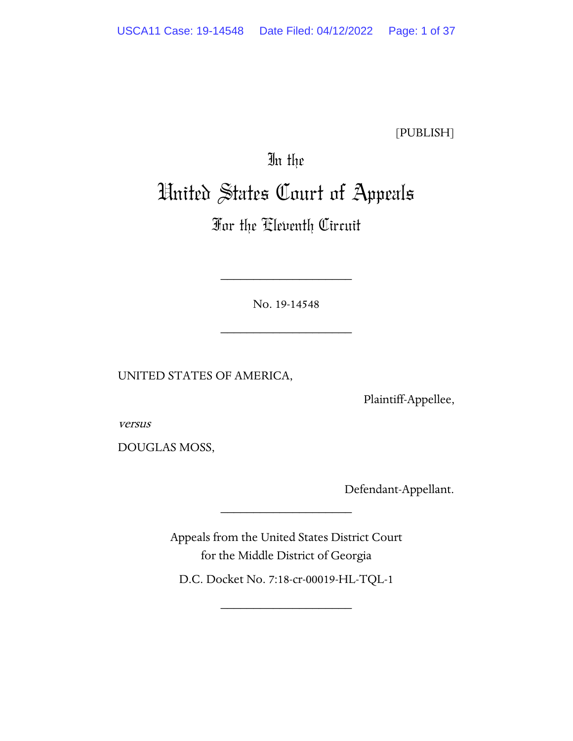[PUBLISH]

# In the

# United States Court of Appeals

# For the Eleventh Circuit

No. 19-14548

\_\_\_\_\_\_\_\_\_\_\_\_\_\_\_\_\_\_\_\_

\_\_\_\_\_\_\_\_\_\_\_\_\_\_\_\_\_\_\_\_

UNITED STATES OF AMERICA,

Plaintiff-Appellee,

versus

DOUGLAS MOSS,

Defendant-Appellant.

Appeals from the United States District Court for the Middle District of Georgia

\_\_\_\_\_\_\_\_\_\_\_\_\_\_\_\_\_\_\_\_

D.C. Docket No. 7:18-cr-00019-HL-TQL-1

\_\_\_\_\_\_\_\_\_\_\_\_\_\_\_\_\_\_\_\_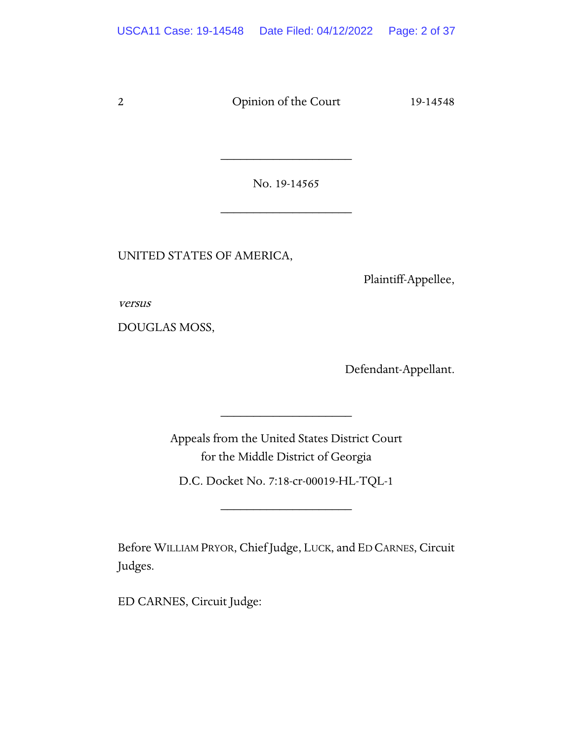No. 19-14565

\_\_\_\_\_\_\_\_\_\_\_\_\_\_\_\_\_\_\_\_

\_\_\_\_\_\_\_\_\_\_\_\_\_\_\_\_\_\_\_\_

UNITED STATES OF AMERICA,

Plaintiff-Appellee,

versus

DOUGLAS MOSS,

Defendant-Appellant.

Appeals from the United States District Court for the Middle District of Georgia

\_\_\_\_\_\_\_\_\_\_\_\_\_\_\_\_\_\_\_\_

D.C. Docket No. 7:18-cr-00019-HL-TQL-1

\_\_\_\_\_\_\_\_\_\_\_\_\_\_\_\_\_\_\_\_

Before WILLIAM PRYOR, Chief Judge, LUCK, and ED CARNES, Circuit Judges.

ED CARNES, Circuit Judge: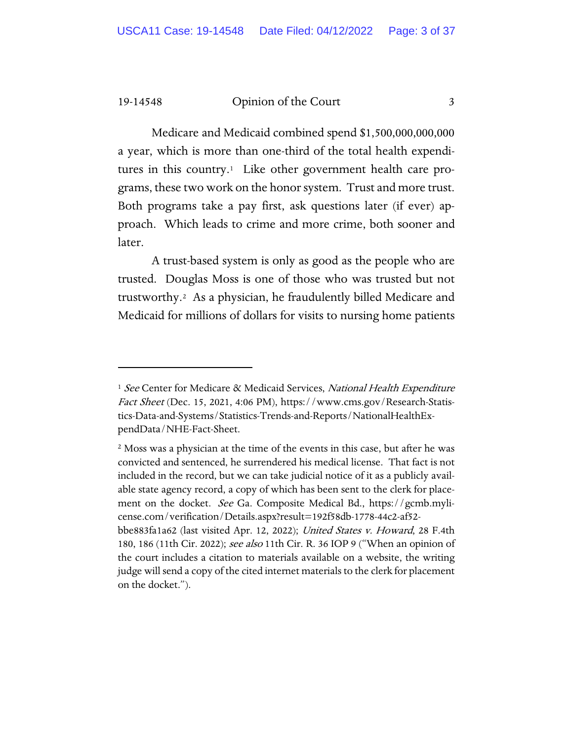Medicare and Medicaid combined spend \$1,500,000,000,000 a year, which is more than one-third of the total health expendi-tures in this country.<sup>[1](#page-2-0)</sup> Like other government health care programs, these two work on the honor system. Trust and more trust. Both programs take a pay first, ask questions later (if ever) approach. Which leads to crime and more crime, both sooner and later.

A trust-based system is only as good as the people who are trusted. Douglas Moss is one of those who was trusted but not trustworthy.[2](#page-2-1) As a physician, he fraudulently billed Medicare and Medicaid for millions of dollars for visits to nursing home patients

<span id="page-2-0"></span><sup>&</sup>lt;sup>1</sup> See Center for Medicare & Medicaid Services, National Health Expenditure Fact Sheet (Dec. 15, 2021, 4:06 PM), [https://www.cms.gov/Research-Statis](https://www.cms.gov/Research-Statistics-Data-and-Systems/Statistics-Trends-and-Reports/NationalHealthExpendData/NHE-Fact-Sheet)[tics-Data-and-Systems/Statistics-Trends-and-Reports/NationalHealthEx](https://www.cms.gov/Research-Statistics-Data-and-Systems/Statistics-Trends-and-Reports/NationalHealthExpendData/NHE-Fact-Sheet)[pendData/NHE-Fact-Sheet.](https://www.cms.gov/Research-Statistics-Data-and-Systems/Statistics-Trends-and-Reports/NationalHealthExpendData/NHE-Fact-Sheet)

<span id="page-2-1"></span><sup>2</sup> Moss was a physician at the time of the events in this case, but after he was convicted and sentenced, he surrendered his medical license. That fact is not included in the record, but we can take judicial notice of it as a publicly available state agency record, a copy of which has been sent to the clerk for placement on the docket. See Ga. Composite Medical Bd., https://gcmb.mylicense.com/verification/Details.aspx?result=192f58db-1778-44c2-af52-

bbe883fa1a62 (last visited Apr. 12, 2022); *United States v. Howard*, 28 F.4th 180, 186 (11th Cir. 2022); see also 11th Cir. R. 36 IOP 9 ("When an opinion of the court includes a citation to materials available on a website, the writing judge will send a copy of the cited internet materials to the clerk for placement on the docket.").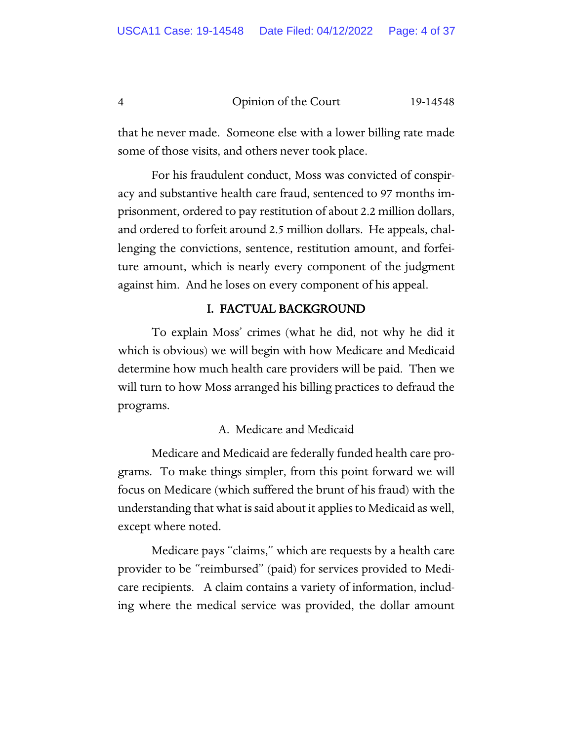that he never made. Someone else with a lower billing rate made some of those visits, and others never took place.

For his fraudulent conduct, Moss was convicted of conspiracy and substantive health care fraud, sentenced to 97 months imprisonment, ordered to pay restitution of about 2.2 million dollars, and ordered to forfeit around 2.5 million dollars. He appeals, challenging the convictions, sentence, restitution amount, and forfeiture amount, which is nearly every component of the judgment against him. And he loses on every component of his appeal.

# I. FACTUAL BACKGROUND

To explain Moss' crimes (what he did, not why he did it which is obvious) we will begin with how Medicare and Medicaid determine how much health care providers will be paid. Then we will turn to how Moss arranged his billing practices to defraud the programs.

# A. Medicare and Medicaid

Medicare and Medicaid are federally funded health care programs. To make things simpler, from this point forward we will focus on Medicare (which suffered the brunt of his fraud) with the understanding that what is said about it applies to Medicaid as well, except where noted.

Medicare pays "claims," which are requests by a health care provider to be "reimbursed" (paid) for services provided to Medicare recipients. A claim contains a variety of information, including where the medical service was provided, the dollar amount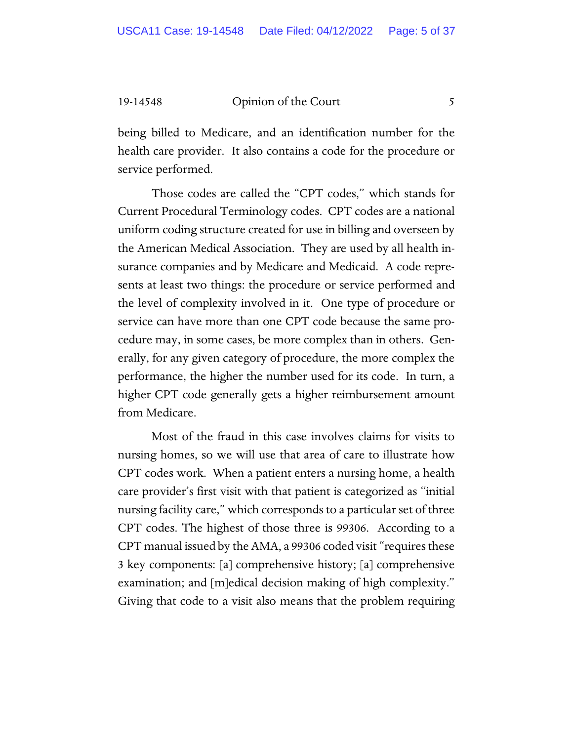being billed to Medicare, and an identification number for the health care provider. It also contains a code for the procedure or service performed.

Those codes are called the "CPT codes," which stands for Current Procedural Terminology codes. CPT codes are a national uniform coding structure created for use in billing and overseen by the American Medical Association. They are used by all health insurance companies and by Medicare and Medicaid. A code represents at least two things: the procedure or service performed and the level of complexity involved in it. One type of procedure or service can have more than one CPT code because the same procedure may, in some cases, be more complex than in others. Generally, for any given category of procedure, the more complex the performance, the higher the number used for its code. In turn, a higher CPT code generally gets a higher reimbursement amount from Medicare.

Most of the fraud in this case involves claims for visits to nursing homes, so we will use that area of care to illustrate how CPT codes work. When a patient enters a nursing home, a health care provider's first visit with that patient is categorized as "initial nursing facility care," which corresponds to a particular set of three CPT codes. The highest of those three is 99306. According to a CPT manual issued by the AMA, a 99306 coded visit "requires these 3 key components: [a] comprehensive history; [a] comprehensive examination; and [m]edical decision making of high complexity." Giving that code to a visit also means that the problem requiring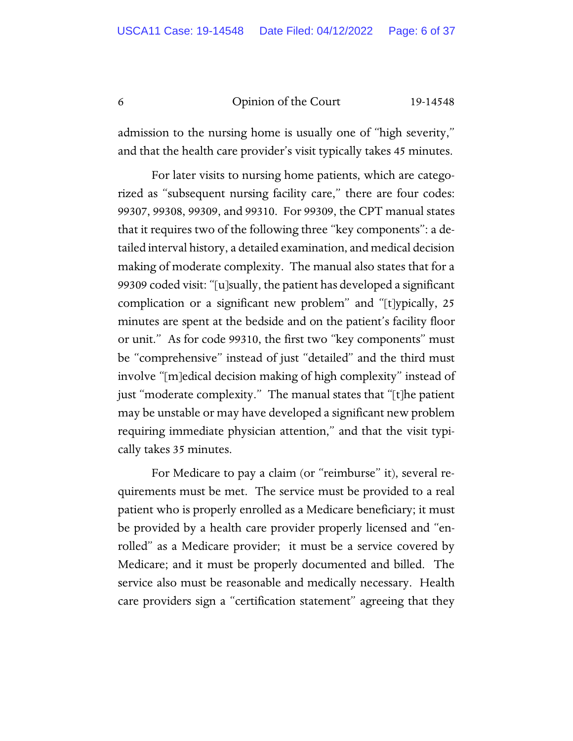admission to the nursing home is usually one of "high severity," and that the health care provider's visit typically takes 45 minutes.

For later visits to nursing home patients, which are categorized as "subsequent nursing facility care," there are four codes: 99307, 99308, 99309, and 99310. For 99309, the CPT manual states that it requires two of the following three "key components": a detailed interval history, a detailed examination, and medical decision making of moderate complexity. The manual also states that for a 99309 coded visit: "[u]sually, the patient has developed a significant complication or a significant new problem" and "[t]ypically, 25 minutes are spent at the bedside and on the patient's facility floor or unit." As for code 99310, the first two "key components" must be "comprehensive" instead of just "detailed" and the third must involve "[m]edical decision making of high complexity" instead of just "moderate complexity." The manual states that "[t]he patient may be unstable or may have developed a significant new problem requiring immediate physician attention," and that the visit typically takes 35 minutes.

For Medicare to pay a claim (or "reimburse" it), several requirements must be met. The service must be provided to a real patient who is properly enrolled as a Medicare beneficiary; it must be provided by a health care provider properly licensed and "enrolled" as a Medicare provider; it must be a service covered by Medicare; and it must be properly documented and billed. The service also must be reasonable and medically necessary. Health care providers sign a "certification statement" agreeing that they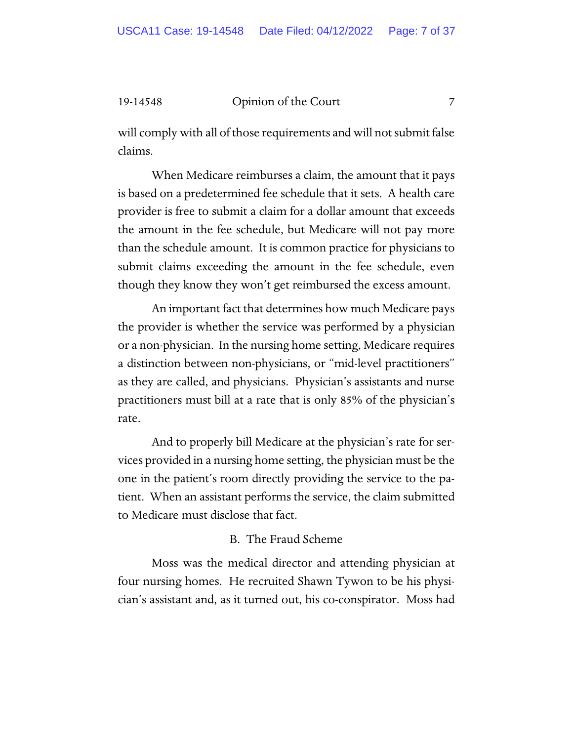will comply with all of those requirements and will not submit false claims.

When Medicare reimburses a claim, the amount that it pays is based on a predetermined fee schedule that it sets. A health care provider is free to submit a claim for a dollar amount that exceeds the amount in the fee schedule, but Medicare will not pay more than the schedule amount. It is common practice for physicians to submit claims exceeding the amount in the fee schedule, even though they know they won't get reimbursed the excess amount.

An important fact that determines how much Medicare pays the provider is whether the service was performed by a physician or a non-physician. In the nursing home setting, Medicare requires a distinction between non-physicians, or "mid-level practitioners" as they are called, and physicians. Physician's assistants and nurse practitioners must bill at a rate that is only 85% of the physician's rate.

And to properly bill Medicare at the physician's rate for services provided in a nursing home setting, the physician must be the one in the patient's room directly providing the service to the patient. When an assistant performs the service, the claim submitted to Medicare must disclose that fact.

## B. The Fraud Scheme

Moss was the medical director and attending physician at four nursing homes. He recruited Shawn Tywon to be his physician's assistant and, as it turned out, his co-conspirator. Moss had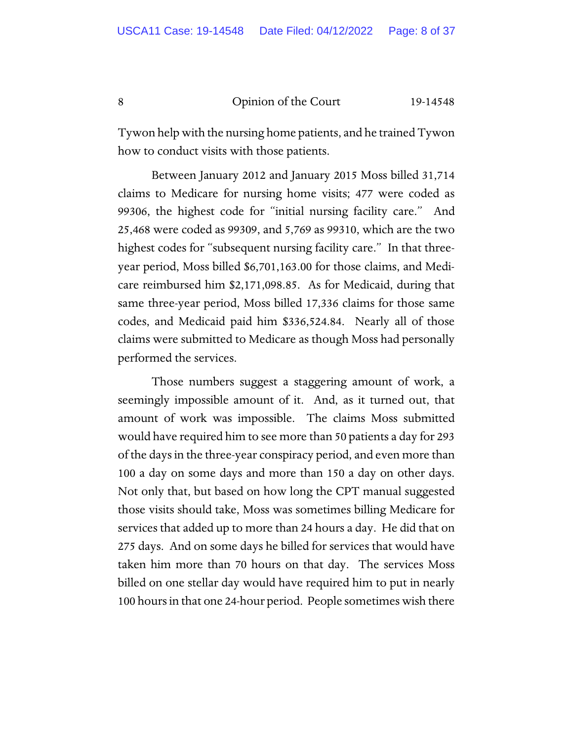Tywon help with the nursing home patients, and he trained Tywon how to conduct visits with those patients.

Between January 2012 and January 2015 Moss billed 31,714 claims to Medicare for nursing home visits; 477 were coded as 99306, the highest code for "initial nursing facility care." And 25,468 were coded as 99309, and 5,769 as 99310, which are the two highest codes for "subsequent nursing facility care." In that threeyear period, Moss billed \$6,701,163.00 for those claims, and Medicare reimbursed him \$2,171,098.85. As for Medicaid, during that same three-year period, Moss billed 17,336 claims for those same codes, and Medicaid paid him \$336,524.84. Nearly all of those claims were submitted to Medicare as though Moss had personally performed the services.

Those numbers suggest a staggering amount of work, a seemingly impossible amount of it. And, as it turned out, that amount of work was impossible. The claims Moss submitted would have required him to see more than 50 patients a day for 293 of the days in the three-year conspiracy period, and even more than 100 a day on some days and more than 150 a day on other days. Not only that, but based on how long the CPT manual suggested those visits should take, Moss was sometimes billing Medicare for services that added up to more than 24 hours a day. He did that on 275 days. And on some days he billed for services that would have taken him more than 70 hours on that day. The services Moss billed on one stellar day would have required him to put in nearly 100 hours in that one 24-hour period. People sometimes wish there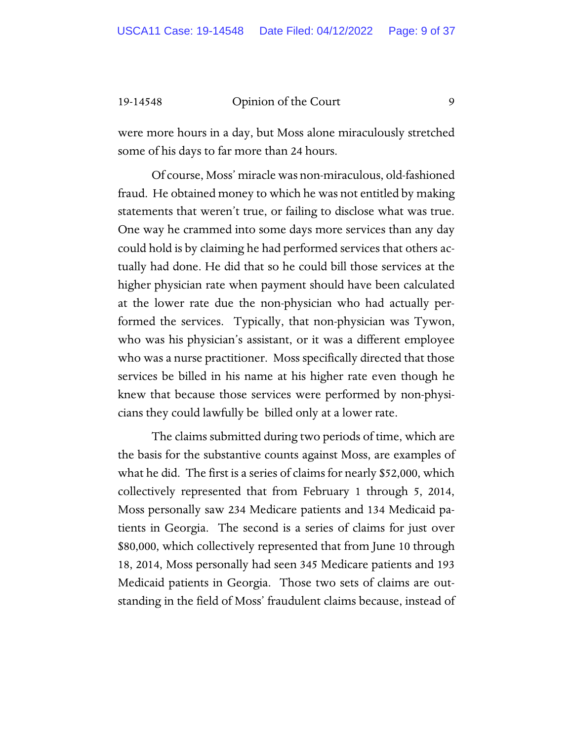were more hours in a day, but Moss alone miraculously stretched some of his days to far more than 24 hours.

Of course, Moss' miracle was non-miraculous, old-fashioned fraud. He obtained money to which he was not entitled by making statements that weren't true, or failing to disclose what was true. One way he crammed into some days more services than any day could hold is by claiming he had performed services that others actually had done. He did that so he could bill those services at the higher physician rate when payment should have been calculated at the lower rate due the non-physician who had actually performed the services. Typically, that non-physician was Tywon, who was his physician's assistant, or it was a different employee who was a nurse practitioner. Moss specifically directed that those services be billed in his name at his higher rate even though he knew that because those services were performed by non-physicians they could lawfully be billed only at a lower rate.

The claims submitted during two periods of time, which are the basis for the substantive counts against Moss, are examples of what he did. The first is a series of claims for nearly \$52,000, which collectively represented that from February 1 through 5, 2014, Moss personally saw 234 Medicare patients and 134 Medicaid patients in Georgia. The second is a series of claims for just over \$80,000, which collectively represented that from June 10 through 18, 2014, Moss personally had seen 345 Medicare patients and 193 Medicaid patients in Georgia. Those two sets of claims are outstanding in the field of Moss' fraudulent claims because, instead of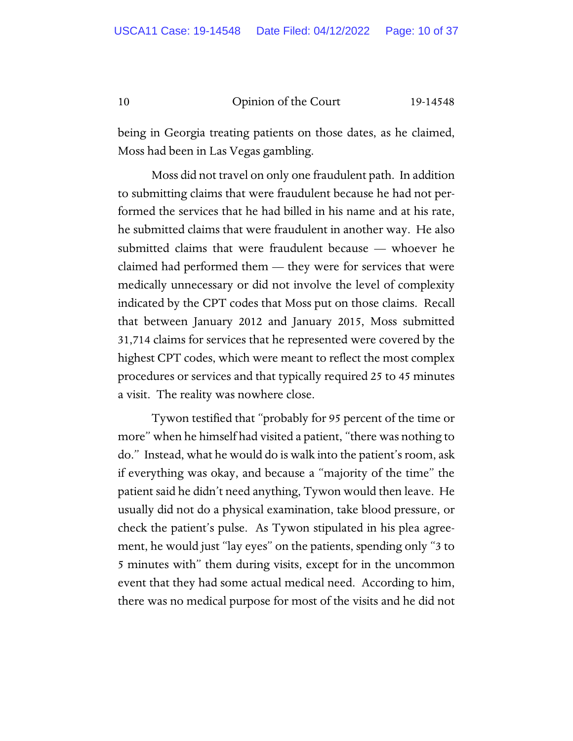being in Georgia treating patients on those dates, as he claimed, Moss had been in Las Vegas gambling.

Moss did not travel on only one fraudulent path. In addition to submitting claims that were fraudulent because he had not performed the services that he had billed in his name and at his rate, he submitted claims that were fraudulent in another way. He also submitted claims that were fraudulent because — whoever he claimed had performed them  $-$  they were for services that were medically unnecessary or did not involve the level of complexity indicated by the CPT codes that Moss put on those claims. Recall that between January 2012 and January 2015, Moss submitted 31,714 claims for services that he represented were covered by the highest CPT codes, which were meant to reflect the most complex procedures or services and that typically required 25 to 45 minutes a visit. The reality was nowhere close.

Tywon testified that "probably for 95 percent of the time or more" when he himself had visited a patient, "there was nothing to do." Instead, what he would do is walk into the patient's room, ask if everything was okay, and because a "majority of the time" the patient said he didn't need anything, Tywon would then leave. He usually did not do a physical examination, take blood pressure, or check the patient's pulse. As Tywon stipulated in his plea agreement, he would just "lay eyes" on the patients, spending only "3 to 5 minutes with" them during visits, except for in the uncommon event that they had some actual medical need. According to him, there was no medical purpose for most of the visits and he did not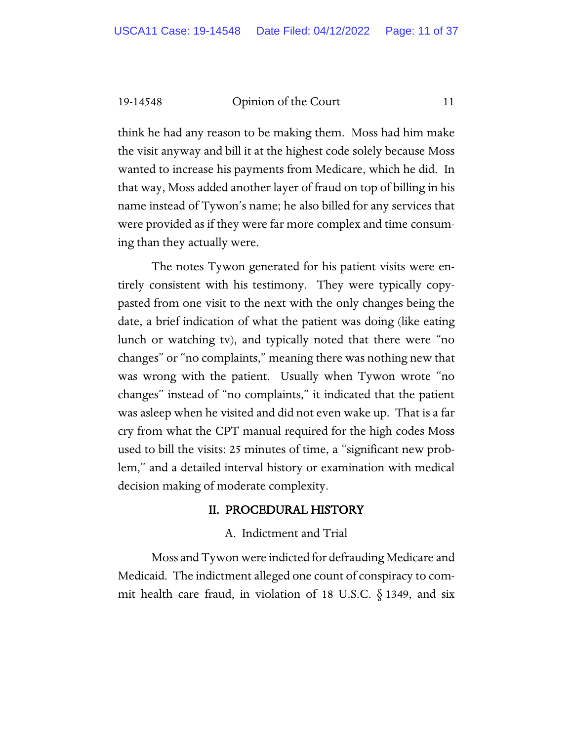think he had any reason to be making them. Moss had him make the visit anyway and bill it at the highest code solely because Moss wanted to increase his payments from Medicare, which he did. In that way, Moss added another layer of fraud on top of billing in his name instead of Tywon's name; he also billed for any services that were provided as if they were far more complex and time consuming than they actually were.

The notes Tywon generated for his patient visits were entirely consistent with his testimony. They were typically copypasted from one visit to the next with the only changes being the date, a brief indication of what the patient was doing (like eating lunch or watching tv), and typically noted that there were "no changes" or "no complaints," meaning there was nothing new that was wrong with the patient. Usually when Tywon wrote "no changes" instead of "no complaints," it indicated that the patient was asleep when he visited and did not even wake up. That is a far cry from what the CPT manual required for the high codes Moss used to bill the visits: 25 minutes of time, a "significant new problem," and a detailed interval history or examination with medical decision making of moderate complexity.

# II. PROCEDURAL HISTORY

# A. Indictment and Trial

Moss and Tywon were indicted for defrauding Medicare and Medicaid. The indictment alleged one count of conspiracy to commit health care fraud, in violation of 18 U.S.C.  $\S$  1349, and six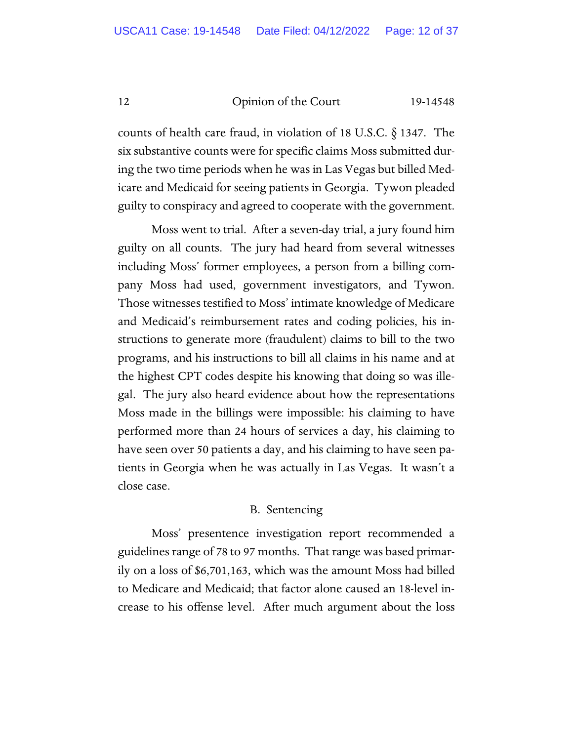counts of health care fraud, in violation of 18 U.S.C. § 1347. The six substantive counts were for specific claims Moss submitted during the two time periods when he was in Las Vegas but billed Medicare and Medicaid for seeing patients in Georgia. Tywon pleaded guilty to conspiracy and agreed to cooperate with the government.

Moss went to trial. After a seven-day trial, a jury found him guilty on all counts. The jury had heard from several witnesses including Moss' former employees, a person from a billing company Moss had used, government investigators, and Tywon. Those witnesses testified to Moss' intimate knowledge of Medicare and Medicaid's reimbursement rates and coding policies, his instructions to generate more (fraudulent) claims to bill to the two programs, and his instructions to bill all claims in his name and at the highest CPT codes despite his knowing that doing so was illegal. The jury also heard evidence about how the representations Moss made in the billings were impossible: his claiming to have performed more than 24 hours of services a day, his claiming to have seen over 50 patients a day, and his claiming to have seen patients in Georgia when he was actually in Las Vegas. It wasn't a close case.

# B. Sentencing

Moss' presentence investigation report recommended a guidelines range of 78 to 97 months. That range was based primarily on a loss of \$6,701,163, which was the amount Moss had billed to Medicare and Medicaid; that factor alone caused an 18-level increase to his offense level. After much argument about the loss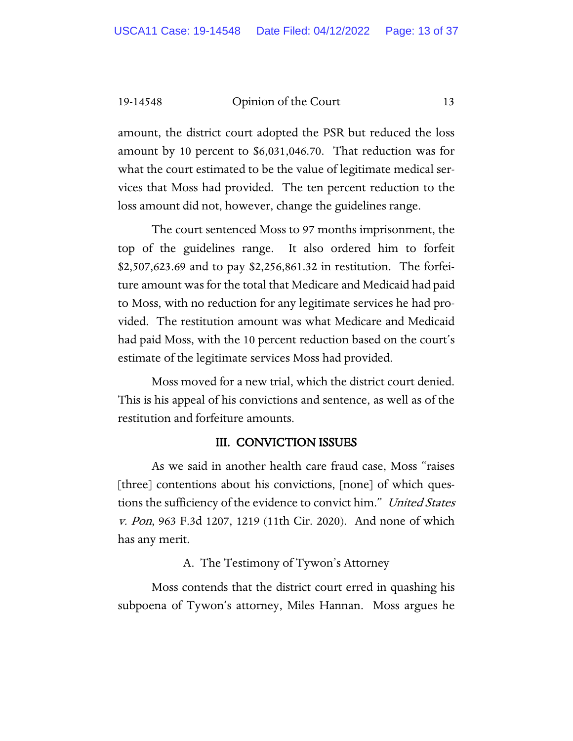amount, the district court adopted the PSR but reduced the loss amount by 10 percent to \$6,031,046.70. That reduction was for what the court estimated to be the value of legitimate medical services that Moss had provided. The ten percent reduction to the loss amount did not, however, change the guidelines range.

The court sentenced Moss to 97 months imprisonment, the top of the guidelines range. It also ordered him to forfeit \$2,507,623.69 and to pay \$2,256,861.32 in restitution. The forfeiture amount was for the total that Medicare and Medicaid had paid to Moss, with no reduction for any legitimate services he had provided. The restitution amount was what Medicare and Medicaid had paid Moss, with the 10 percent reduction based on the court's estimate of the legitimate services Moss had provided.

Moss moved for a new trial, which the district court denied. This is his appeal of his convictions and sentence, as well as of the restitution and forfeiture amounts.

# III. CONVICTION ISSUES

As we said in another health care fraud case, Moss "raises [three] contentions about his convictions, [none] of which questions the sufficiency of the evidence to convict him." United States v. Pon, 963 F.3d 1207, 1219 (11th Cir. 2020). And none of which has any merit.

#### A. The Testimony of Tywon's Attorney

Moss contends that the district court erred in quashing his subpoena of Tywon's attorney, Miles Hannan. Moss argues he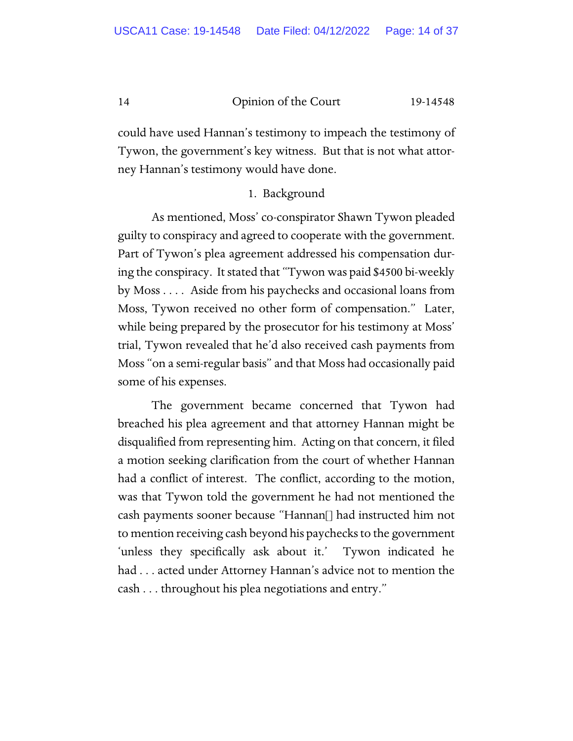could have used Hannan's testimony to impeach the testimony of Tywon, the government's key witness. But that is not what attorney Hannan's testimony would have done.

# 1. Background

As mentioned, Moss' co-conspirator Shawn Tywon pleaded guilty to conspiracy and agreed to cooperate with the government. Part of Tywon's plea agreement addressed his compensation during the conspiracy. It stated that "Tywon was paid \$4500 bi-weekly by Moss . . . . Aside from his paychecks and occasional loans from Moss, Tywon received no other form of compensation." Later, while being prepared by the prosecutor for his testimony at Moss' trial, Tywon revealed that he'd also received cash payments from Moss "on a semi-regular basis" and that Moss had occasionally paid some of his expenses.

The government became concerned that Tywon had breached his plea agreement and that attorney Hannan might be disqualified from representing him. Acting on that concern, it filed a motion seeking clarification from the court of whether Hannan had a conflict of interest. The conflict, according to the motion, was that Tywon told the government he had not mentioned the cash payments sooner because "Hannan[] had instructed him not to mention receiving cash beyond his paychecks to the government 'unless they specifically ask about it.' Tywon indicated he had . . . acted under Attorney Hannan's advice not to mention the cash . . . throughout his plea negotiations and entry."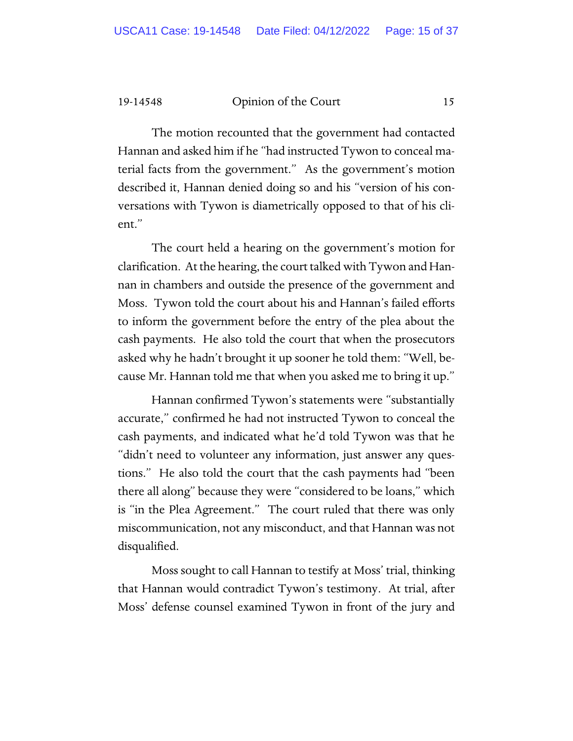The motion recounted that the government had contacted Hannan and asked him if he "had instructed Tywon to conceal material facts from the government." As the government's motion described it, Hannan denied doing so and his "version of his conversations with Tywon is diametrically opposed to that of his client."

The court held a hearing on the government's motion for clarification. At the hearing, the court talked with Tywon and Hannan in chambers and outside the presence of the government and Moss. Tywon told the court about his and Hannan's failed efforts to inform the government before the entry of the plea about the cash payments. He also told the court that when the prosecutors asked why he hadn't brought it up sooner he told them: "Well, because Mr. Hannan told me that when you asked me to bring it up."

Hannan confirmed Tywon's statements were "substantially accurate," confirmed he had not instructed Tywon to conceal the cash payments, and indicated what he'd told Tywon was that he "didn't need to volunteer any information, just answer any questions." He also told the court that the cash payments had "been there all along" because they were "considered to be loans," which is "in the Plea Agreement." The court ruled that there was only miscommunication, not any misconduct, and that Hannan was not disqualified.

Moss sought to call Hannan to testify at Moss' trial, thinking that Hannan would contradict Tywon's testimony. At trial, after Moss' defense counsel examined Tywon in front of the jury and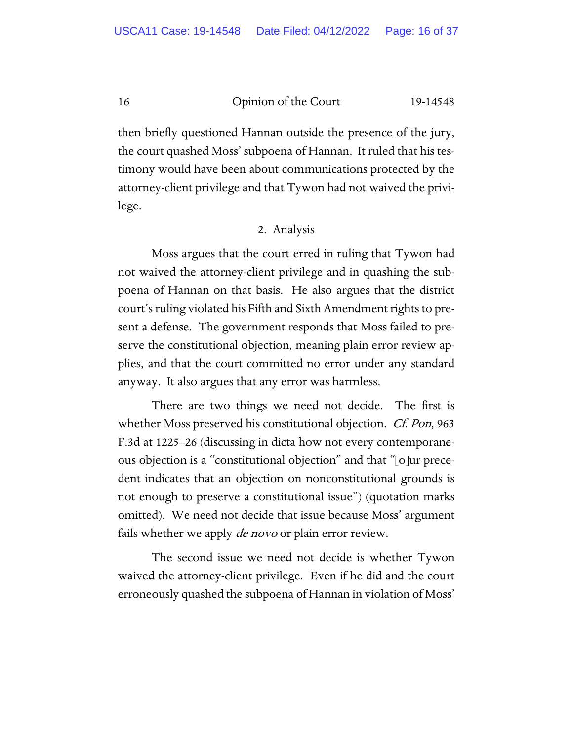then briefly questioned Hannan outside the presence of the jury, the court quashed Moss' subpoena of Hannan. It ruled that his testimony would have been about communications protected by the attorney-client privilege and that Tywon had not waived the privilege.

#### 2. Analysis

Moss argues that the court erred in ruling that Tywon had not waived the attorney-client privilege and in quashing the subpoena of Hannan on that basis. He also argues that the district court's ruling violated his Fifth and Sixth Amendment rights to present a defense. The government responds that Moss failed to preserve the constitutional objection, meaning plain error review applies, and that the court committed no error under any standard anyway. It also argues that any error was harmless.

There are two things we need not decide. The first is whether Moss preserved his constitutional objection. *Cf. Pon*, 963 F.3d at 1225–26 (discussing in dicta how not every contemporaneous objection is a "constitutional objection" and that "[o]ur precedent indicates that an objection on nonconstitutional grounds is not enough to preserve a constitutional issue") (quotation marks omitted). We need not decide that issue because Moss' argument fails whether we apply *de novo* or plain error review.

The second issue we need not decide is whether Tywon waived the attorney-client privilege. Even if he did and the court erroneously quashed the subpoena of Hannan in violation of Moss'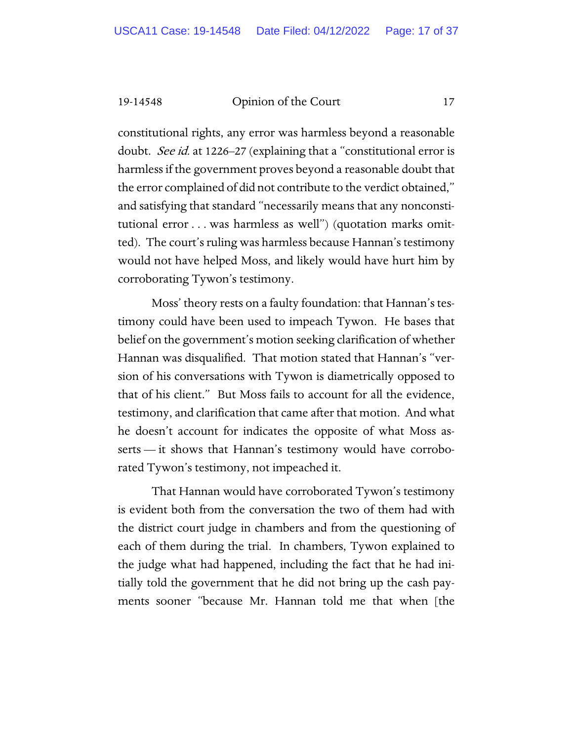constitutional rights, any error was harmless beyond a reasonable doubt. See id. at 1226–27 (explaining that a "constitutional error is harmless if the government proves beyond a reasonable doubt that the error complained of did not contribute to the verdict obtained," and satisfying that standard "necessarily means that any nonconstitutional error . . . was harmless as well") (quotation marks omitted). The court's ruling was harmless because Hannan's testimony would not have helped Moss, and likely would have hurt him by corroborating Tywon's testimony.

Moss' theory rests on a faulty foundation: that Hannan's testimony could have been used to impeach Tywon. He bases that belief on the government's motion seeking clarification of whether Hannan was disqualified. That motion stated that Hannan's "version of his conversations with Tywon is diametrically opposed to that of his client." But Moss fails to account for all the evidence, testimony, and clarification that came after that motion. And what he doesn't account for indicates the opposite of what Moss asserts — it shows that Hannan's testimony would have corroborated Tywon's testimony, not impeached it.

That Hannan would have corroborated Tywon's testimony is evident both from the conversation the two of them had with the district court judge in chambers and from the questioning of each of them during the trial. In chambers, Tywon explained to the judge what had happened, including the fact that he had initially told the government that he did not bring up the cash payments sooner "because Mr. Hannan told me that when [the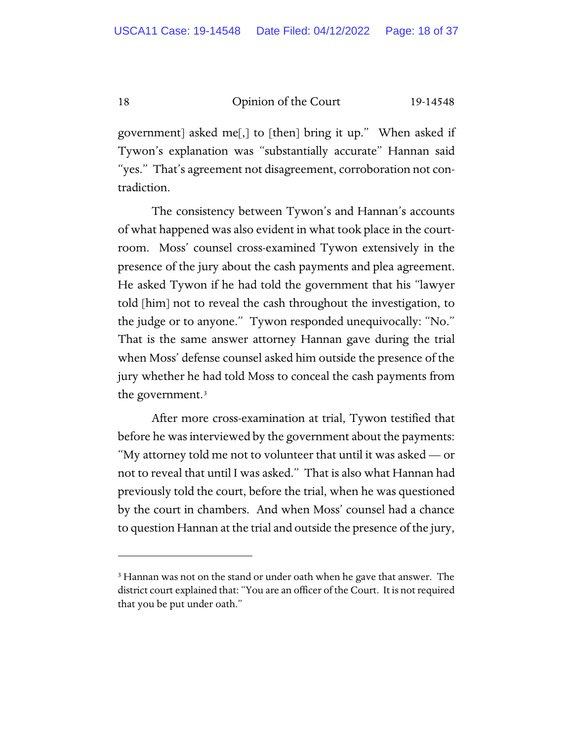government] asked me[,] to [then] bring it up." When asked if Tywon's explanation was "substantially accurate" Hannan said "yes." That's agreement not disagreement, corroboration not contradiction.

The consistency between Tywon's and Hannan's accounts of what happened was also evident in what took place in the courtroom. Moss' counsel cross-examined Tywon extensively in the presence of the jury about the cash payments and plea agreement. He asked Tywon if he had told the government that his "lawyer told [him] not to reveal the cash throughout the investigation, to the judge or to anyone." Tywon responded unequivocally: "No." That is the same answer attorney Hannan gave during the trial when Moss' defense counsel asked him outside the presence of the jury whether he had told Moss to conceal the cash payments from the government.[3](#page-17-0)

After more cross-examination at trial, Tywon testified that before he was interviewed by the government about the payments: "My attorney told me not to volunteer that until it was asked — or not to reveal that until I was asked." That is also what Hannan had previously told the court, before the trial, when he was questioned by the court in chambers. And when Moss' counsel had a chance to question Hannan at the trial and outside the presence of the jury,

<span id="page-17-0"></span><sup>&</sup>lt;sup>3</sup> Hannan was not on the stand or under oath when he gave that answer. The district court explained that: "You are an officer of the Court. It is not required that you be put under oath."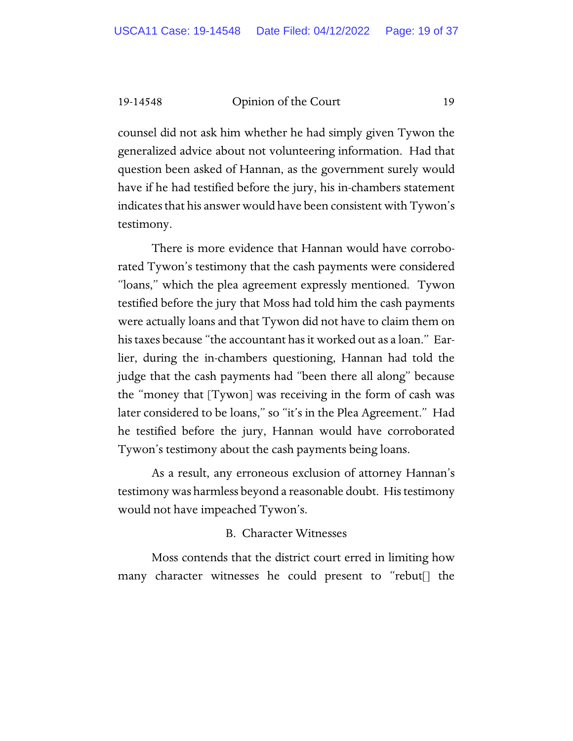counsel did not ask him whether he had simply given Tywon the generalized advice about not volunteering information. Had that question been asked of Hannan, as the government surely would have if he had testified before the jury, his in-chambers statement indicates that his answer would have been consistent with Tywon's testimony.

There is more evidence that Hannan would have corroborated Tywon's testimony that the cash payments were considered "loans," which the plea agreement expressly mentioned. Tywon testified before the jury that Moss had told him the cash payments were actually loans and that Tywon did not have to claim them on his taxes because "the accountant has it worked out as a loan." Earlier, during the in-chambers questioning, Hannan had told the judge that the cash payments had "been there all along" because the "money that [Tywon] was receiving in the form of cash was later considered to be loans," so "it's in the Plea Agreement." Had he testified before the jury, Hannan would have corroborated Tywon's testimony about the cash payments being loans.

As a result, any erroneous exclusion of attorney Hannan's testimony was harmless beyond a reasonable doubt. His testimony would not have impeached Tywon's.

#### B. Character Witnesses

Moss contends that the district court erred in limiting how many character witnesses he could present to "rebut[] the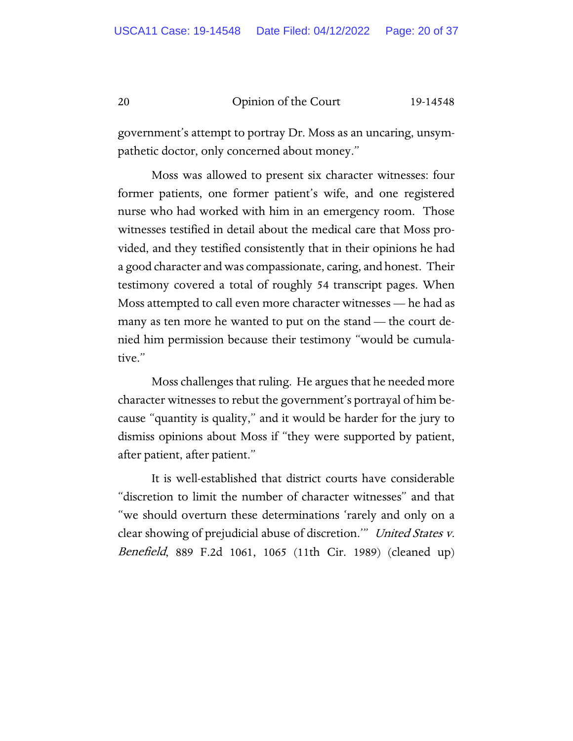government's attempt to portray Dr. Moss as an uncaring, unsympathetic doctor, only concerned about money."

Moss was allowed to present six character witnesses: four former patients, one former patient's wife, and one registered nurse who had worked with him in an emergency room. Those witnesses testified in detail about the medical care that Moss provided, and they testified consistently that in their opinions he had a good character and was compassionate, caring, and honest. Their testimony covered a total of roughly 54 transcript pages. When Moss attempted to call even more character witnesses — he had as many as ten more he wanted to put on the stand — the court denied him permission because their testimony "would be cumulative."

Moss challenges that ruling. He argues that he needed more character witnesses to rebut the government's portrayal of him because "quantity is quality," and it would be harder for the jury to dismiss opinions about Moss if "they were supported by patient, after patient, after patient."

It is well-established that district courts have considerable "discretion to limit the number of character witnesses" and that "we should overturn these determinations 'rarely and only on a clear showing of prejudicial abuse of discretion." United States v. Benefield, 889 F.2d 1061, 1065 (11th Cir. 1989) (cleaned up)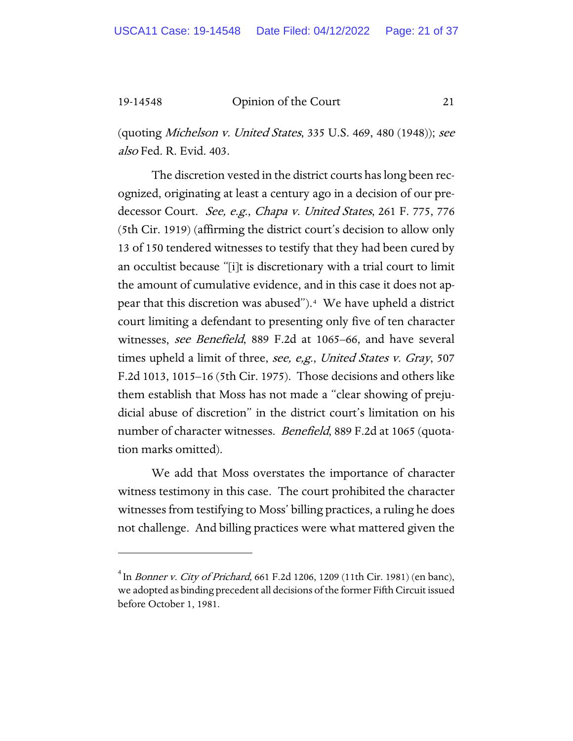(quoting Michelson v. United States, 335 U.S. 469, 480 (1948)); see also Fed. R. Evid. 403.

The discretion vested in the district courts has long been recognized, originating at least a century ago in a decision of our predecessor Court. See, e.g., Chapa v. United States, 261 F. 775, 776 (5th Cir. 1919) (affirming the district court's decision to allow only 13 of 150 tendered witnesses to testify that they had been cured by an occultist because "[i]t is discretionary with a trial court to limit the amount of cumulative evidence, and in this case it does not appear that this discretion was abused").[4](#page-20-0) We have upheld a district court limiting a defendant to presenting only five of ten character witnesses, see Benefield, 889 F.2d at 1065–66, and have several times upheld a limit of three, see, e,g., United States v. Gray, 507 F.2d 1013, 1015–16 (5th Cir. 1975). Those decisions and others like them establish that Moss has not made a "clear showing of prejudicial abuse of discretion" in the district court's limitation on his number of character witnesses. *Benefield*, 889 F.2d at 1065 (quotation marks omitted).

We add that Moss overstates the importance of character witness testimony in this case. The court prohibited the character witnesses from testifying to Moss' billing practices, a ruling he does not challenge. And billing practices were what mattered given the

<span id="page-20-0"></span> $^4$  In *Bonner v. City of Prichard*, 661 F.2d 1206, 1209 (11th Cir. 1981) (en banc), we adopted as binding precedent all decisions of the former Fifth Circuit issued before October 1, 1981.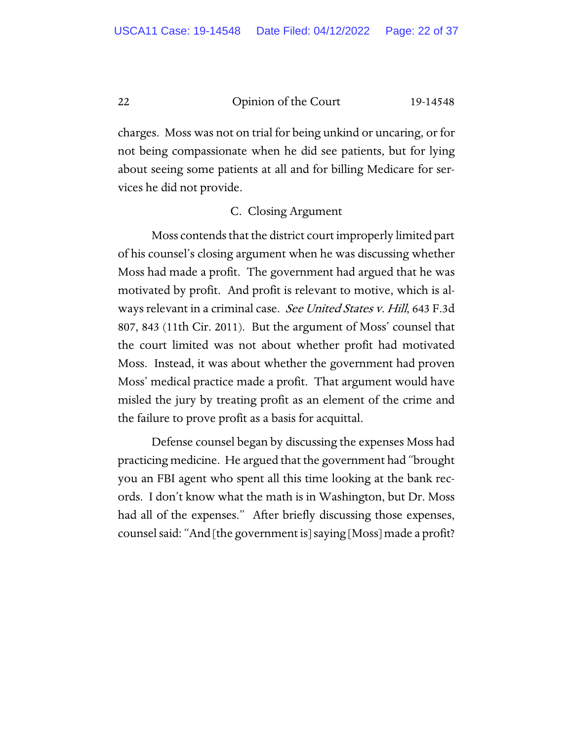charges. Moss was not on trial for being unkind or uncaring, or for not being compassionate when he did see patients, but for lying about seeing some patients at all and for billing Medicare for services he did not provide.

# C. Closing Argument

Moss contends that the district court improperly limited part of his counsel's closing argument when he was discussing whether Moss had made a profit. The government had argued that he was motivated by profit. And profit is relevant to motive, which is always relevant in a criminal case. See United States v. Hill, 643 F.3d 807, 843 (11th Cir. 2011). But the argument of Moss' counsel that the court limited was not about whether profit had motivated Moss. Instead, it was about whether the government had proven Moss' medical practice made a profit. That argument would have misled the jury by treating profit as an element of the crime and the failure to prove profit as a basis for acquittal.

Defense counsel began by discussing the expenses Moss had practicing medicine. He argued that the government had "brought you an FBI agent who spent all this time looking at the bank records. I don't know what the math is in Washington, but Dr. Moss had all of the expenses." After briefly discussing those expenses, counsel said: "And [the government is] saying [Moss] made a profit?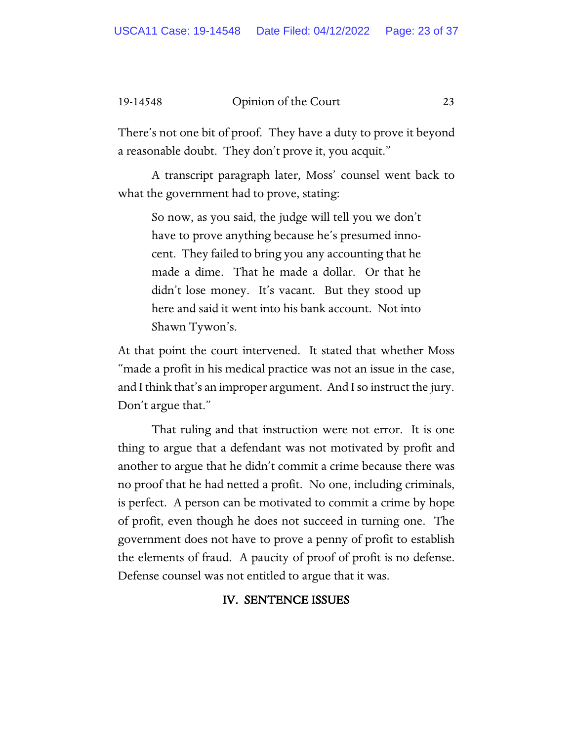There's not one bit of proof. They have a duty to prove it beyond a reasonable doubt. They don't prove it, you acquit."

A transcript paragraph later, Moss' counsel went back to what the government had to prove, stating:

So now, as you said, the judge will tell you we don't have to prove anything because he's presumed innocent. They failed to bring you any accounting that he made a dime. That he made a dollar. Or that he didn't lose money. It's vacant. But they stood up here and said it went into his bank account. Not into Shawn Tywon's.

At that point the court intervened. It stated that whether Moss "made a profit in his medical practice was not an issue in the case, and I think that's an improper argument. And I so instruct the jury. Don't argue that."

That ruling and that instruction were not error. It is one thing to argue that a defendant was not motivated by profit and another to argue that he didn't commit a crime because there was no proof that he had netted a profit. No one, including criminals, is perfect. A person can be motivated to commit a crime by hope of profit, even though he does not succeed in turning one. The government does not have to prove a penny of profit to establish the elements of fraud. A paucity of proof of profit is no defense. Defense counsel was not entitled to argue that it was.

# IV. SENTENCE ISSUES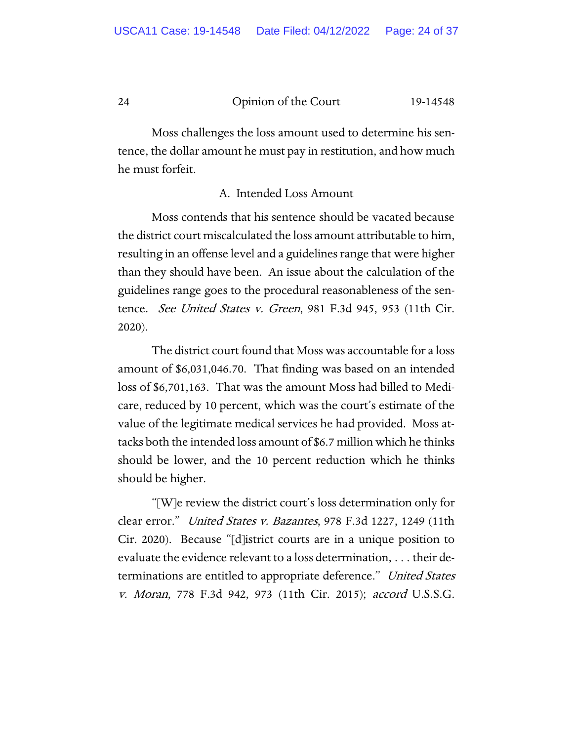Moss challenges the loss amount used to determine his sentence, the dollar amount he must pay in restitution, and how much he must forfeit.

# A. Intended Loss Amount

Moss contends that his sentence should be vacated because the district court miscalculated the loss amount attributable to him, resulting in an offense level and a guidelines range that were higher than they should have been. An issue about the calculation of the guidelines range goes to the procedural reasonableness of the sentence. See United States v. Green, 981 F.3d 945, 953 (11th Cir. 2020).

The district court found that Moss was accountable for a loss amount of \$6,031,046.70. That finding was based on an intended loss of \$6,701,163. That was the amount Moss had billed to Medicare, reduced by 10 percent, which was the court's estimate of the value of the legitimate medical services he had provided. Moss attacks both the intended loss amount of \$6.7 million which he thinks should be lower, and the 10 percent reduction which he thinks should be higher.

"[W]e review the district court's loss determination only for clear error." United States v. Bazantes, 978 F.3d 1227, 1249 (11th Cir. 2020). Because "[d]istrict courts are in a unique position to evaluate the evidence relevant to a loss determination, . . . their determinations are entitled to appropriate deference." United States v. Moran, 778 F.3d 942, 973 (11th Cir. 2015); accord U.S.S.G.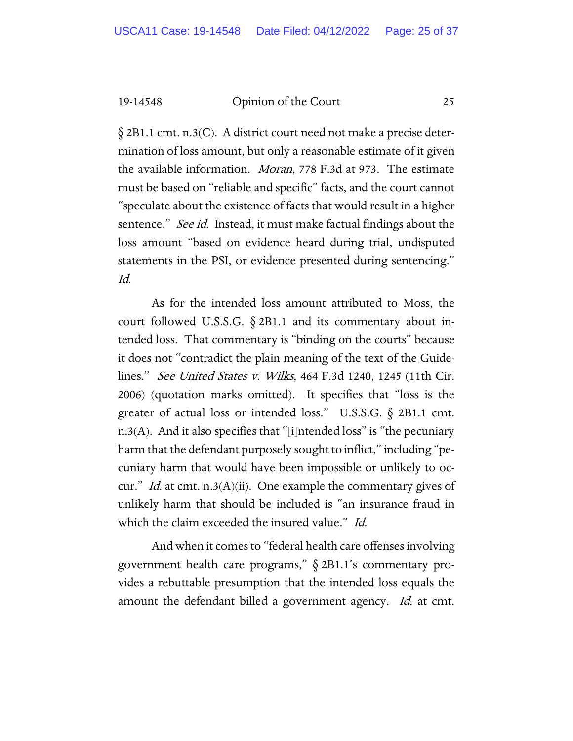§ 2B1.1 cmt. n.3(C). A district court need not make a precise determination of loss amount, but only a reasonable estimate of it given the available information. Moran, 778 F.3d at 973. The estimate must be based on "reliable and specific" facts, and the court cannot "speculate about the existence of facts that would result in a higher sentence." See id. Instead, it must make factual findings about the loss amount "based on evidence heard during trial, undisputed statements in the PSI, or evidence presented during sentencing." Id.

As for the intended loss amount attributed to Moss, the court followed U.S.S.G.  $\S$  2B1.1 and its commentary about intended loss. That commentary is "binding on the courts" because it does not "contradict the plain meaning of the text of the Guidelines." See United States v. Wilks, 464 F.3d 1240, 1245 (11th Cir. 2006) (quotation marks omitted). It specifies that "loss is the greater of actual loss or intended loss." U.S.S.G. § 2B1.1 cmt.  $n.3(A)$ . And it also specifies that "[i]ntended loss" is "the pecuniary harm that the defendant purposely sought to inflict," including "pecuniary harm that would have been impossible or unlikely to occur." Id. at cmt. n.3(A)(ii). One example the commentary gives of unlikely harm that should be included is "an insurance fraud in which the claim exceeded the insured value." Id.

And when it comes to "federal health care offenses involving government health care programs," § 2B1.1's commentary provides a rebuttable presumption that the intended loss equals the amount the defendant billed a government agency. Id. at cmt.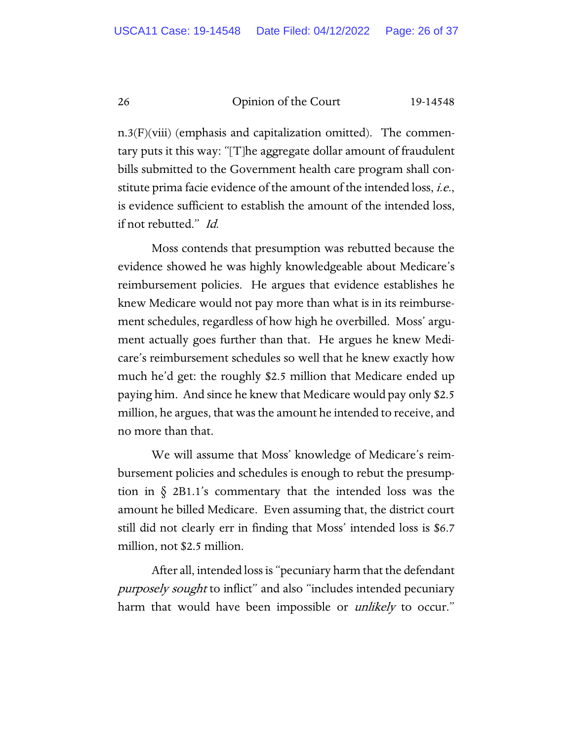$n.3(F)(viii)$  (emphasis and capitalization omitted). The commentary puts it this way: "[T]he aggregate dollar amount of fraudulent bills submitted to the Government health care program shall constitute prima facie evidence of the amount of the intended loss, i.e., is evidence sufficient to establish the amount of the intended loss, if not rebutted." Id.

Moss contends that presumption was rebutted because the evidence showed he was highly knowledgeable about Medicare's reimbursement policies. He argues that evidence establishes he knew Medicare would not pay more than what is in its reimbursement schedules, regardless of how high he overbilled. Moss' argument actually goes further than that. He argues he knew Medicare's reimbursement schedules so well that he knew exactly how much he'd get: the roughly \$2.5 million that Medicare ended up paying him. And since he knew that Medicare would pay only \$2.5 million, he argues, that was the amount he intended to receive, and no more than that.

We will assume that Moss' knowledge of Medicare's reimbursement policies and schedules is enough to rebut the presumption in § 2B1.1's commentary that the intended loss was the amount he billed Medicare. Even assuming that, the district court still did not clearly err in finding that Moss' intended loss is \$6.7 million, not \$2.5 million.

After all, intended loss is "pecuniary harm that the defendant purposely sought to inflict" and also "includes intended pecuniary harm that would have been impossible or *unlikely* to occur."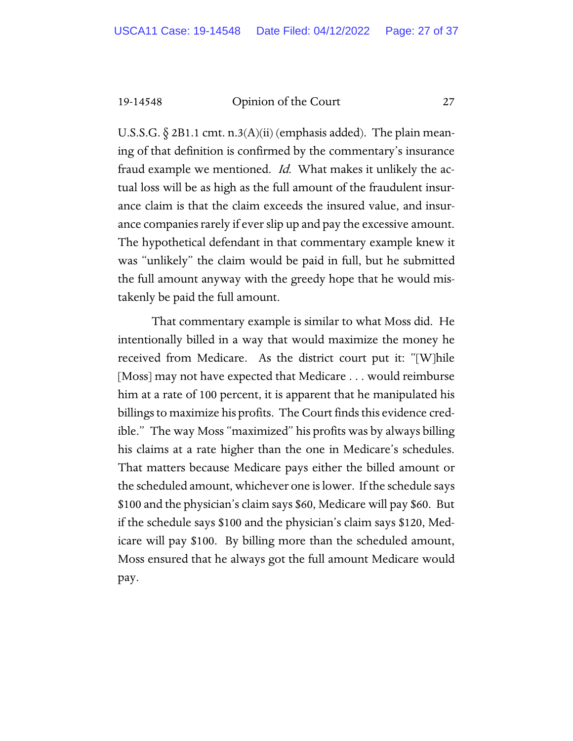U.S.S.G.  $\S$  2B1.1 cmt. n.3(A)(ii) (emphasis added). The plain meaning of that definition is confirmed by the commentary's insurance fraud example we mentioned. *Id.* What makes it unlikely the actual loss will be as high as the full amount of the fraudulent insurance claim is that the claim exceeds the insured value, and insurance companies rarely if ever slip up and pay the excessive amount. The hypothetical defendant in that commentary example knew it was "unlikely" the claim would be paid in full, but he submitted the full amount anyway with the greedy hope that he would mistakenly be paid the full amount.

That commentary example is similar to what Moss did. He intentionally billed in a way that would maximize the money he received from Medicare. As the district court put it: "[W]hile [Moss] may not have expected that Medicare . . . would reimburse him at a rate of 100 percent, it is apparent that he manipulated his billings to maximize his profits. The Court finds this evidence credible." The way Moss "maximized" his profits was by always billing his claims at a rate higher than the one in Medicare's schedules. That matters because Medicare pays either the billed amount or the scheduled amount, whichever one is lower. If the schedule says \$100 and the physician's claim says \$60, Medicare will pay \$60. But if the schedule says \$100 and the physician's claim says \$120, Medicare will pay \$100. By billing more than the scheduled amount, Moss ensured that he always got the full amount Medicare would pay.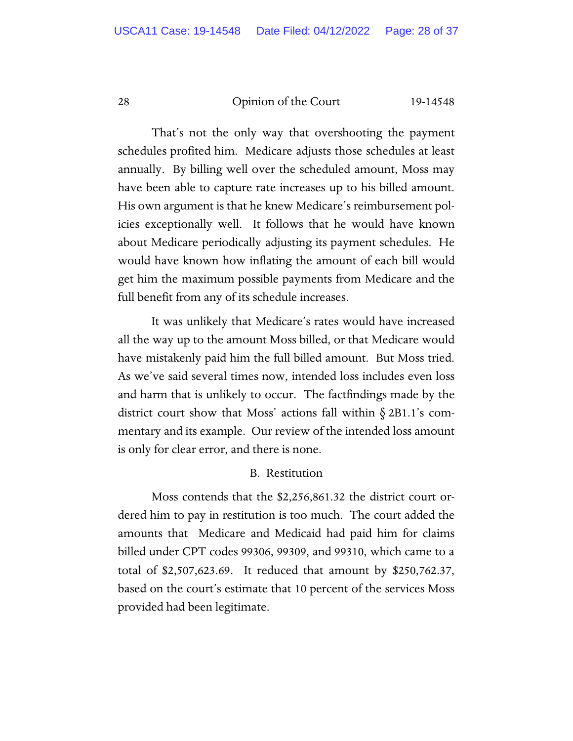That's not the only way that overshooting the payment schedules profited him. Medicare adjusts those schedules at least annually. By billing well over the scheduled amount, Moss may have been able to capture rate increases up to his billed amount. His own argument is that he knew Medicare's reimbursement policies exceptionally well. It follows that he would have known about Medicare periodically adjusting its payment schedules. He would have known how inflating the amount of each bill would get him the maximum possible payments from Medicare and the full benefit from any of its schedule increases.

It was unlikely that Medicare's rates would have increased all the way up to the amount Moss billed, or that Medicare would have mistakenly paid him the full billed amount. But Moss tried. As we've said several times now, intended loss includes even loss and harm that is unlikely to occur. The factfindings made by the district court show that Moss' actions fall within § 2B1.1's commentary and its example. Our review of the intended loss amount is only for clear error, and there is none.

# B. Restitution

Moss contends that the \$2,256,861.32 the district court ordered him to pay in restitution is too much. The court added the amounts that Medicare and Medicaid had paid him for claims billed under CPT codes 99306, 99309, and 99310, which came to a total of \$2,507,623.69. It reduced that amount by \$250,762.37, based on the court's estimate that 10 percent of the services Moss provided had been legitimate.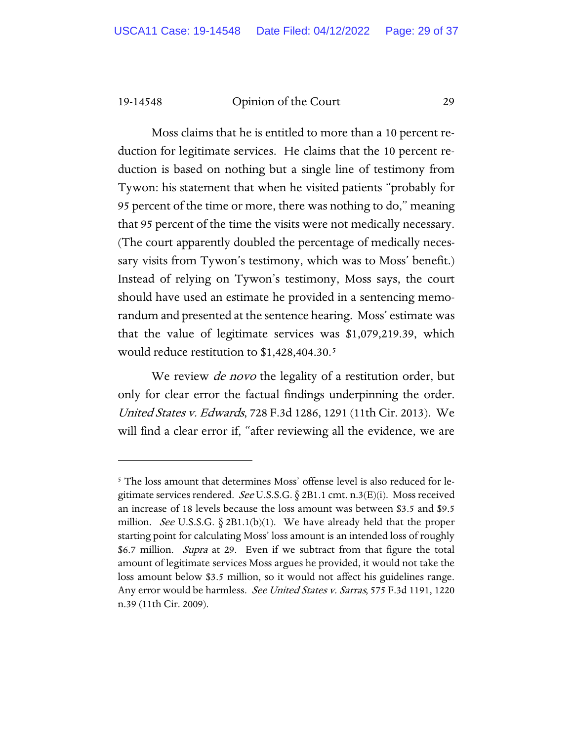Moss claims that he is entitled to more than a 10 percent reduction for legitimate services. He claims that the 10 percent reduction is based on nothing but a single line of testimony from Tywon: his statement that when he visited patients "probably for 95 percent of the time or more, there was nothing to do," meaning that 95 percent of the time the visits were not medically necessary. (The court apparently doubled the percentage of medically necessary visits from Tywon's testimony, which was to Moss' benefit.) Instead of relying on Tywon's testimony, Moss says, the court should have used an estimate he provided in a sentencing memorandum and presented at the sentence hearing. Moss' estimate was that the value of legitimate services was \$1,079,219.39, which would reduce restitution to \$1,428,404.30.<sup>[5](#page-28-0)</sup>

We review *de novo* the legality of a restitution order, but only for clear error the factual findings underpinning the order. United States v. Edwards, 728 F.3d 1286, 1291 (11th Cir. 2013). We will find a clear error if, "after reviewing all the evidence, we are

<span id="page-28-0"></span><sup>&</sup>lt;sup>5</sup> The loss amount that determines Moss' offense level is also reduced for legitimate services rendered. See U.S.S.G.  $\S$  2B1.1 cmt. n.3(E)(i). Moss received an increase of 18 levels because the loss amount was between \$3.5 and \$9.5 million. See U.S.S.G.  $\S 2B1.1(b)(1)$ . We have already held that the proper starting point for calculating Moss' loss amount is an intended loss of roughly \$6.7 million. Supra at 29. Even if we subtract from that figure the total amount of legitimate services Moss argues he provided, it would not take the loss amount below \$3.5 million, so it would not affect his guidelines range. Any error would be harmless. See United States v. Sarras, 575 F.3d 1191, 1220 n.39 (11th Cir. 2009).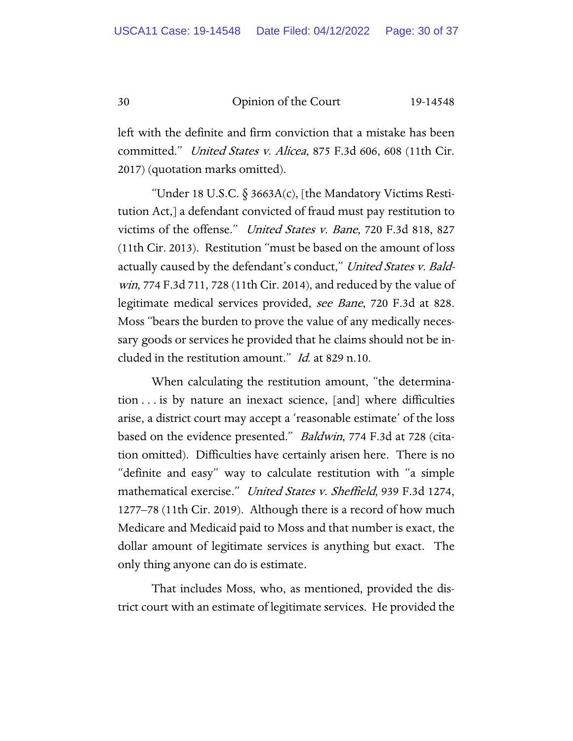left with the definite and firm conviction that a mistake has been committed." United States v. Alicea, 875 F.3d 606, 608 (11th Cir. 2017) (quotation marks omitted).

"Under 18 U.S.C.  $\S 3663A(c)$ , [the Mandatory Victims Restitution Act,] a defendant convicted of fraud must pay restitution to victims of the offense." United States v. Bane, 720 F.3d 818, 827 (11th Cir. 2013). Restitution "must be based on the amount of loss actually caused by the defendant's conduct," *United States v. Bald*win, 774 F.3d 711, 728 (11th Cir. 2014), and reduced by the value of legitimate medical services provided, see Bane, 720 F.3d at 828. Moss "bears the burden to prove the value of any medically necessary goods or services he provided that he claims should not be included in the restitution amount." Id. at 829 n.10.

When calculating the restitution amount, "the determination . . . is by nature an inexact science, [and] where difficulties arise, a district court may accept a 'reasonable estimate' of the loss based on the evidence presented." Baldwin, 774 F.3d at 728 (citation omitted). Difficulties have certainly arisen here. There is no "definite and easy" way to calculate restitution with "a simple mathematical exercise." United States v. Sheffield, 939 F.3d 1274, 1277–78 (11th Cir. 2019). Although there is a record of how much Medicare and Medicaid paid to Moss and that number is exact, the dollar amount of legitimate services is anything but exact. The only thing anyone can do is estimate.

That includes Moss, who, as mentioned, provided the district court with an estimate of legitimate services. He provided the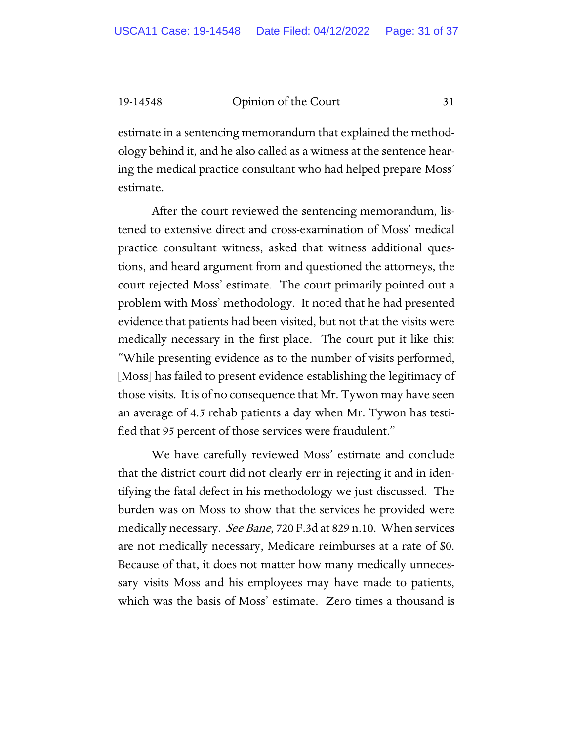estimate in a sentencing memorandum that explained the methodology behind it, and he also called as a witness at the sentence hearing the medical practice consultant who had helped prepare Moss' estimate.

After the court reviewed the sentencing memorandum, listened to extensive direct and cross-examination of Moss' medical practice consultant witness, asked that witness additional questions, and heard argument from and questioned the attorneys, the court rejected Moss' estimate. The court primarily pointed out a problem with Moss' methodology. It noted that he had presented evidence that patients had been visited, but not that the visits were medically necessary in the first place. The court put it like this: "While presenting evidence as to the number of visits performed, [Moss] has failed to present evidence establishing the legitimacy of those visits. It is of no consequence that Mr. Tywon may have seen an average of 4.5 rehab patients a day when Mr. Tywon has testified that 95 percent of those services were fraudulent."

We have carefully reviewed Moss' estimate and conclude that the district court did not clearly err in rejecting it and in identifying the fatal defect in his methodology we just discussed. The burden was on Moss to show that the services he provided were medically necessary. *See Bane*, 720 F.3d at 829 n.10. When services are not medically necessary, Medicare reimburses at a rate of \$0. Because of that, it does not matter how many medically unnecessary visits Moss and his employees may have made to patients, which was the basis of Moss' estimate. Zero times a thousand is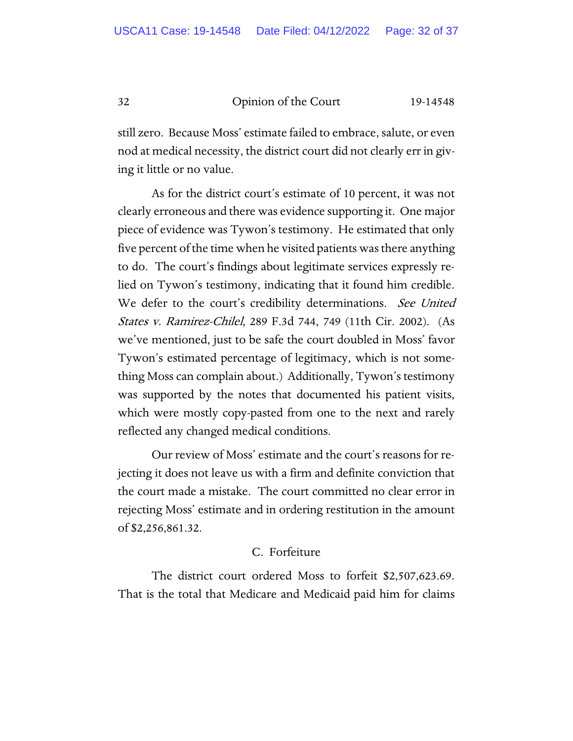still zero. Because Moss' estimate failed to embrace, salute, or even nod at medical necessity, the district court did not clearly err in giving it little or no value.

As for the district court's estimate of 10 percent, it was not clearly erroneous and there was evidence supporting it. One major piece of evidence was Tywon's testimony. He estimated that only five percent of the time when he visited patients was there anything to do. The court's findings about legitimate services expressly relied on Tywon's testimony, indicating that it found him credible. We defer to the court's credibility determinations. See United States v. Ramirez-Chilel, 289 F.3d 744, 749 (11th Cir. 2002). (As we've mentioned, just to be safe the court doubled in Moss' favor Tywon's estimated percentage of legitimacy, which is not something Moss can complain about.) Additionally, Tywon's testimony was supported by the notes that documented his patient visits, which were mostly copy-pasted from one to the next and rarely reflected any changed medical conditions.

Our review of Moss' estimate and the court's reasons for rejecting it does not leave us with a firm and definite conviction that the court made a mistake. The court committed no clear error in rejecting Moss' estimate and in ordering restitution in the amount of \$2,256,861.32.

# C. Forfeiture

The district court ordered Moss to forfeit \$2,507,623.69. That is the total that Medicare and Medicaid paid him for claims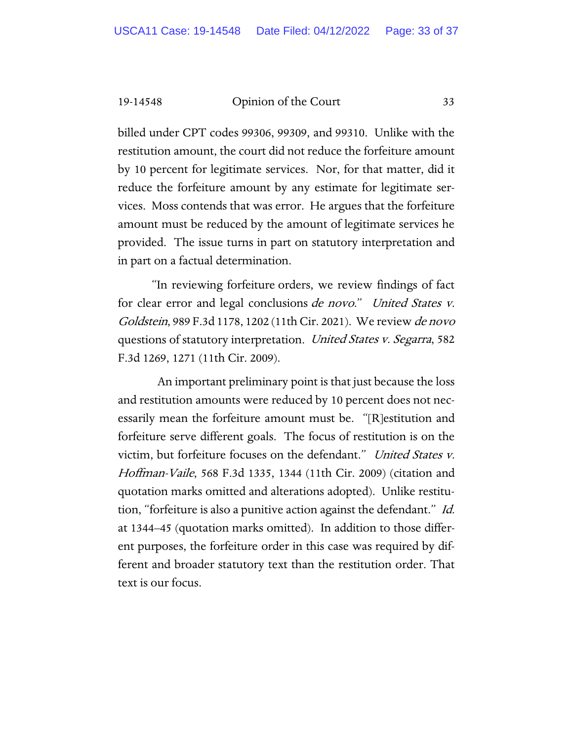billed under CPT codes 99306, 99309, and 99310. Unlike with the restitution amount, the court did not reduce the forfeiture amount by 10 percent for legitimate services. Nor, for that matter, did it reduce the forfeiture amount by any estimate for legitimate services. Moss contends that was error. He argues that the forfeiture amount must be reduced by the amount of legitimate services he provided. The issue turns in part on statutory interpretation and in part on a factual determination.

"In reviewing forfeiture orders, we review findings of fact for clear error and legal conclusions de novo." United States v. Goldstein, 989 F.3d 1178, 1202 (11th Cir. 2021). We review de novo questions of statutory interpretation. United States v. Segarra, 582 F.3d 1269, 1271 (11th Cir. 2009).

 An important preliminary point is that just because the loss and restitution amounts were reduced by 10 percent does not necessarily mean the forfeiture amount must be. "[R]estitution and forfeiture serve different goals. The focus of restitution is on the victim, but forfeiture focuses on the defendant." United States v. Hoffman-Vaile, 568 F.3d 1335, 1344 (11th Cir. 2009) (citation and quotation marks omitted and alterations adopted). Unlike restitution, "forfeiture is also a punitive action against the defendant." Id. at 1344–45 (quotation marks omitted). In addition to those different purposes, the forfeiture order in this case was required by different and broader statutory text than the restitution order. That text is our focus.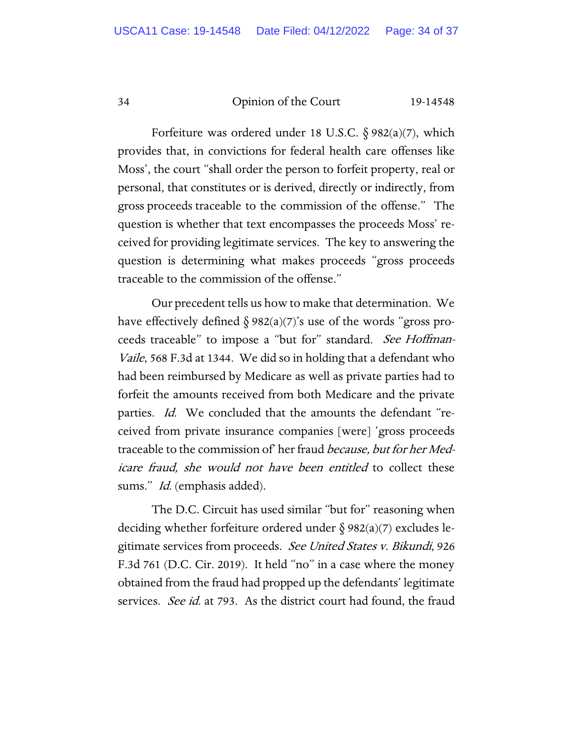Forfeiture was ordered under 18 U.S.C.  $\S 982(a)(7)$ , which provides that, in convictions for federal health care offenses like Moss', the court "shall order the person to forfeit property, real or personal, that constitutes or is derived, directly or indirectly, from gross proceeds traceable to the commission of the offense." The question is whether that text encompasses the proceeds Moss' received for providing legitimate services. The key to answering the question is determining what makes proceeds "gross proceeds traceable to the commission of the offense."

Our precedent tells us how to make that determination. We have effectively defined  $\S 982(a)(7)'$ s use of the words "gross proceeds traceable" to impose a "but for" standard. See Hoffman-Vaile, 568 F.3d at 1344. We did so in holding that a defendant who had been reimbursed by Medicare as well as private parties had to forfeit the amounts received from both Medicare and the private parties. Id. We concluded that the amounts the defendant "received from private insurance companies [were] 'gross proceeds traceable to the commission of her fraud *because*, but for her Medicare fraud, she would not have been entitled to collect these sums." *Id.* (emphasis added).

The D.C. Circuit has used similar "but for" reasoning when deciding whether forfeiture ordered under § 982(a)(7) excludes legitimate services from proceeds. See United States v. Bikundi, 926 F.3d 761 (D.C. Cir. 2019). It held "no" in a case where the money obtained from the fraud had propped up the defendants' legitimate services. See id. at 793. As the district court had found, the fraud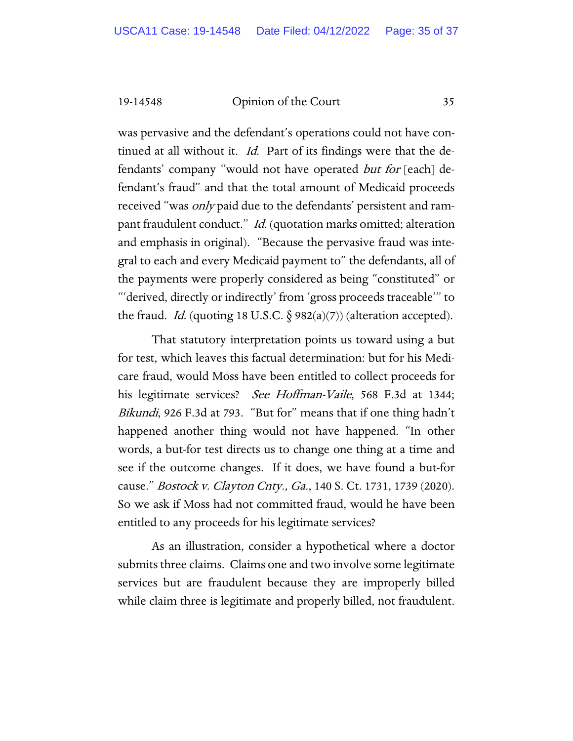was pervasive and the defendant's operations could not have continued at all without it. *Id.* Part of its findings were that the defendants' company "would not have operated *but for* [each] defendant's fraud" and that the total amount of Medicaid proceeds received "was only paid due to the defendants' persistent and rampant fraudulent conduct." Id. (quotation marks omitted; alteration and emphasis in original). "Because the pervasive fraud was integral to each and every Medicaid payment to" the defendants, all of the payments were properly considered as being "constituted" or "'derived, directly or indirectly' from 'gross proceeds traceable'" to the fraud. *Id.* (quoting 18 U.S.C.  $\S$  982(a)(7)) (alteration accepted).

That statutory interpretation points us toward using a but for test, which leaves this factual determination: but for his Medicare fraud, would Moss have been entitled to collect proceeds for his legitimate services? See Hoffman-Vaile, 568 F.3d at 1344; Bikundi, 926 F.3d at 793. "But for" means that if one thing hadn't happened another thing would not have happened. "In other words, a but-for test directs us to change one thing at a time and see if the outcome changes. If it does, we have found a but-for cause." *Bostock v. Clayton Cnty., Ga.*, 140 S. Ct. 1731, 1739 (2020). So we ask if Moss had not committed fraud, would he have been entitled to any proceeds for his legitimate services?

As an illustration, consider a hypothetical where a doctor submits three claims. Claims one and two involve some legitimate services but are fraudulent because they are improperly billed while claim three is legitimate and properly billed, not fraudulent.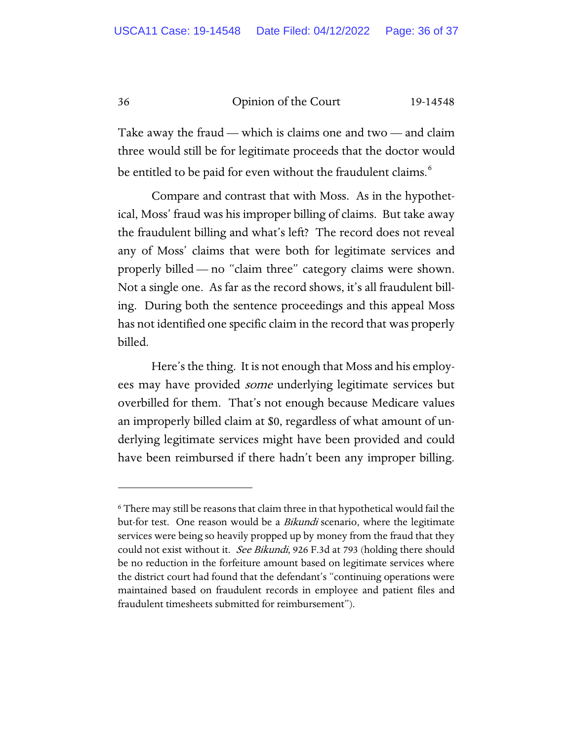Take away the fraud — which is claims one and two — and claim three would still be for legitimate proceeds that the doctor would be entitled to be paid for even without the fraudulent claims.<sup>[6](#page-35-0)</sup>

Compare and contrast that with Moss. As in the hypothetical, Moss' fraud was his improper billing of claims. But take away the fraudulent billing and what's left? The record does not reveal any of Moss' claims that were both for legitimate services and properly billed — no "claim three" category claims were shown. Not a single one. As far as the record shows, it's all fraudulent billing. During both the sentence proceedings and this appeal Moss has not identified one specific claim in the record that was properly billed.

Here's the thing. It is not enough that Moss and his employees may have provided *some* underlying legitimate services but overbilled for them. That's not enough because Medicare values an improperly billed claim at \$0, regardless of what amount of underlying legitimate services might have been provided and could have been reimbursed if there hadn't been any improper billing.

<span id="page-35-0"></span><sup>6</sup> There may still be reasons that claim three in that hypothetical would fail the but-for test. One reason would be a *Bikundi* scenario, where the legitimate services were being so heavily propped up by money from the fraud that they could not exist without it. See Bikundi, 926 F.3d at 793 (holding there should be no reduction in the forfeiture amount based on legitimate services where the district court had found that the defendant's "continuing operations were maintained based on fraudulent records in employee and patient files and fraudulent timesheets submitted for reimbursement").